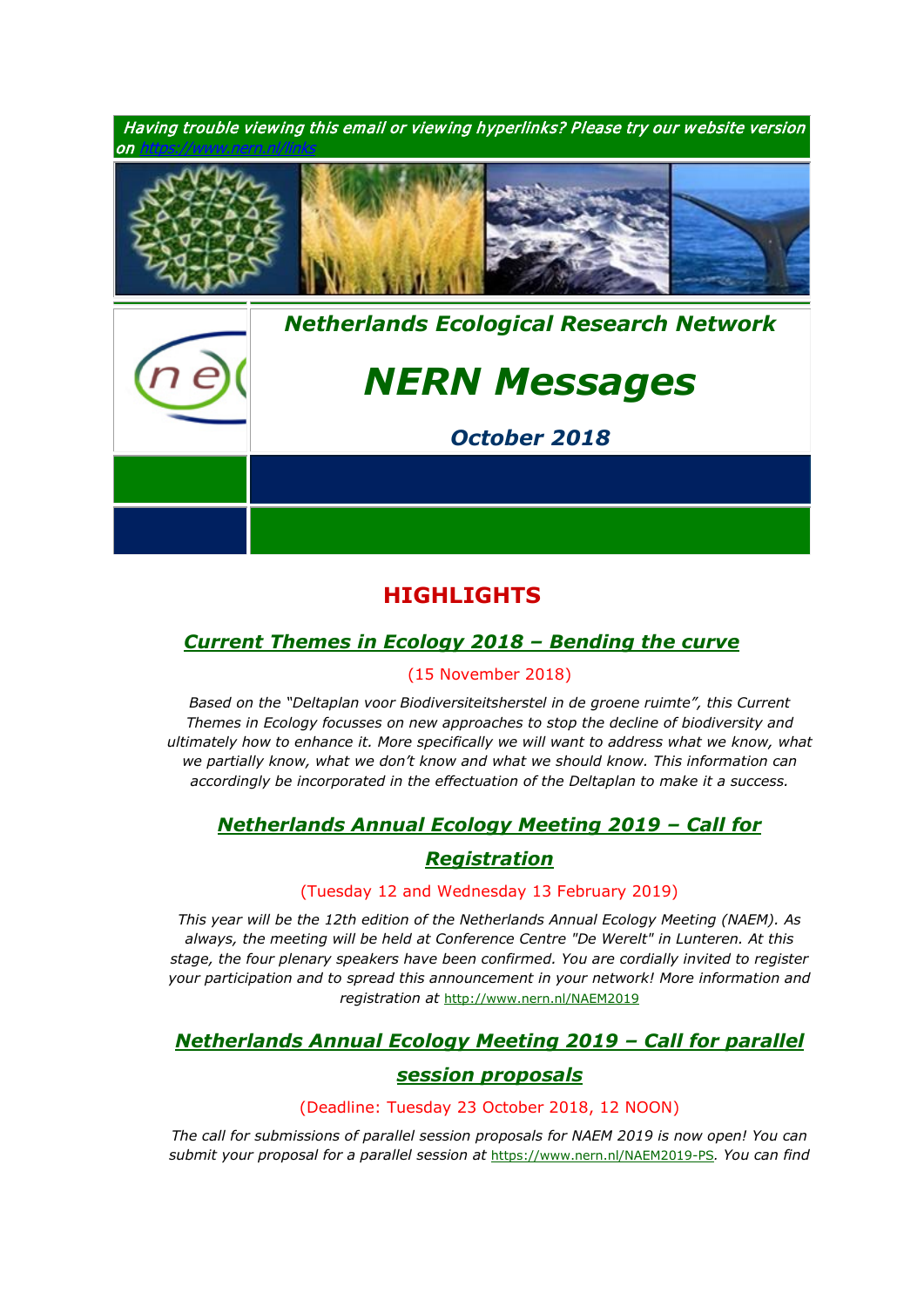

# **HIGHLIGHTS**

# *[Current Themes in Ecology 2018 –](https://www.nern.nl/node/19357) Bending the curve*

### (15 November 2018)

*1. Based on the "Deltaplan voor Biodiversiteitsherstel in de groene ruimte", this Current Themes in Ecology focusses on new approaches to stop the decline of biodiversity and ultimately how to enhance it. More specifically we will want to address what we know, what we partially know, what we don't know and what we should know. This information can accordingly be incorporated in the effectuation of the Deltaplan to make it a success.*

# *3. [Netherlands Annual Ecology Meeting 2019](https://www.nern.nl/NAEM2019) – Call for*

## *[Registration](https://www.nern.nl/NAEM2019)*

### (Tuesday 12 and Wednesday 13 February 2019)

4. *This year will be the 12th edition of the Netherlands Annual Ecology Meeting (NAEM). As always, the meeting will be held at Conference Centre "De Werelt" in Lunteren. At this stage, the four plenary speakers have been confirmed. You are cordially invited to register your participation and to spread this announcement in your network! More information and registration at* <http://www.nern.nl/NAEM2019>

# *6. [Netherlands Annual Ecology Meeting 2019](https://www.nern.nl/NAEM2019-PS) – Call for parallel*

### *[session proposals](https://www.nern.nl/NAEM2019-PS)*

#### (Deadline: Tuesday 23 October 2018, 12 NOON)

**7.** *The call for submissions of parallel session proposals for NAEM 2019 is now open! You can submit your proposal for a parallel session at* <https://www.nern.nl/NAEM2019-PS>*. You can find*